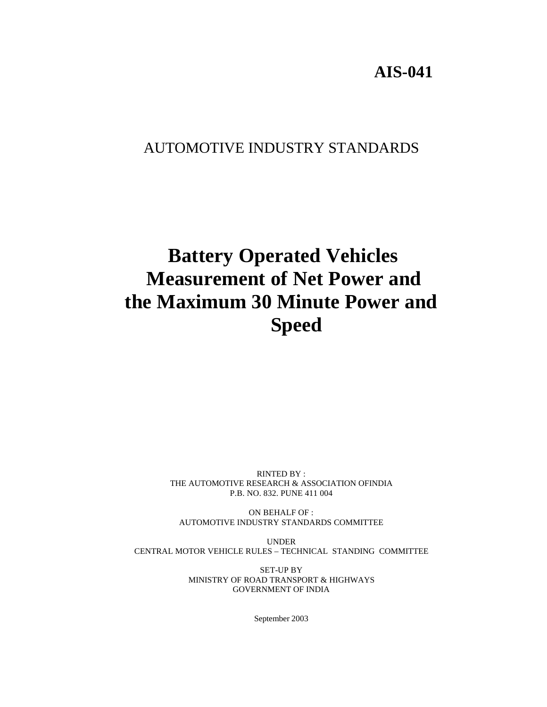# **AIS-041**

# AUTOMOTIVE INDUSTRY STANDARDS

# **Battery Operated Vehicles Measurement of Net Power and the Maximum 30 Minute Power and Speed**

RINTED BY : THE AUTOMOTIVE RESEARCH & ASSOCIATION OFINDIA P.B. NO. 832. PUNE 411 004

ON BEHALF OF : AUTOMOTIVE INDUSTRY STANDARDS COMMITTEE

UNDER CENTRAL MOTOR VEHICLE RULES – TECHNICAL STANDING COMMITTEE

> SET-UP BY MINISTRY OF ROAD TRANSPORT & HIGHWAYS GOVERNMENT OF INDIA

> > September 2003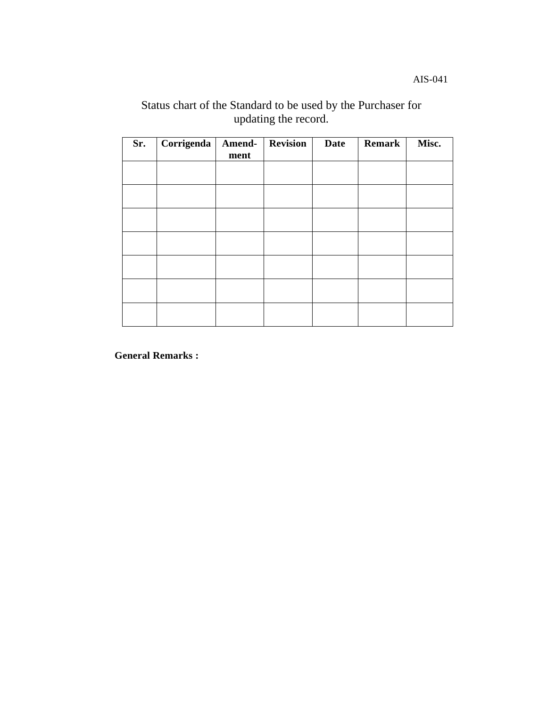AIS-041

## Status chart of the Standard to be used by the Purchaser for updating the record.

| Sr. | Corrigenda | Amend-<br>ment | <b>Revision</b> | <b>Date</b> | Remark | Misc. |
|-----|------------|----------------|-----------------|-------------|--------|-------|
|     |            |                |                 |             |        |       |
|     |            |                |                 |             |        |       |
|     |            |                |                 |             |        |       |
|     |            |                |                 |             |        |       |
|     |            |                |                 |             |        |       |
|     |            |                |                 |             |        |       |
|     |            |                |                 |             |        |       |

**General Remarks :**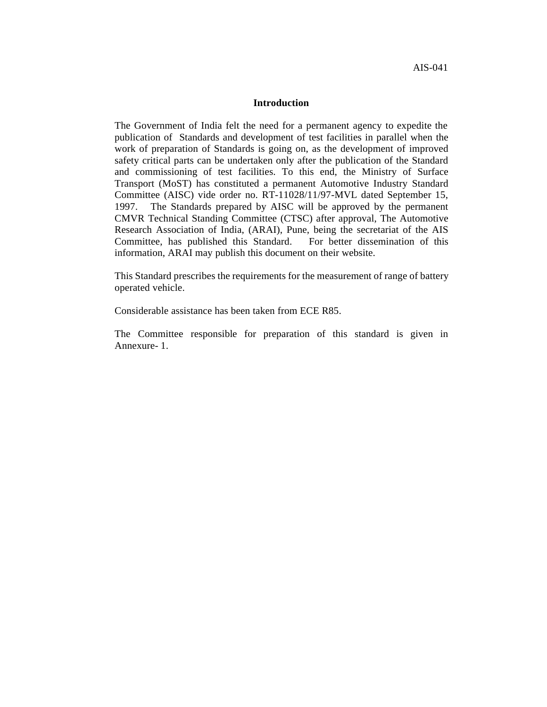#### **Introduction**

The Government of India felt the need for a permanent agency to expedite the publication of Standards and development of test facilities in parallel when the work of preparation of Standards is going on, as the development of improved safety critical parts can be undertaken only after the publication of the Standard and commissioning of test facilities. To this end, the Ministry of Surface Transport (MoST) has constituted a permanent Automotive Industry Standard Committee (AISC) vide order no. RT-11028/11/97-MVL dated September 15, 1997. The Standards prepared by AISC will be approved by the permanent CMVR Technical Standing Committee (CTSC) after approval, The Automotive Research Association of India, (ARAI), Pune, being the secretariat of the AIS Committee, has published this Standard. For better dissemination of this information, ARAI may publish this document on their website.

This Standard prescribes the requirements for the measurement of range of battery operated vehicle.

Considerable assistance has been taken from ECE R85.

The Committee responsible for preparation of this standard is given in Annexure- 1.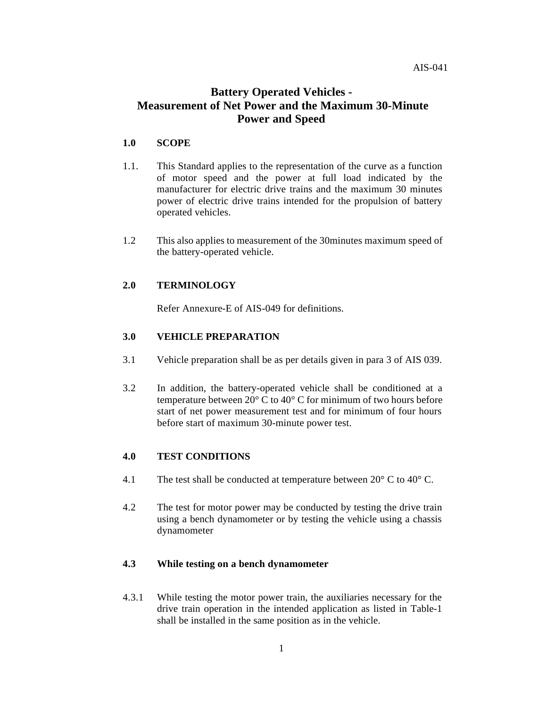## **Battery Operated Vehicles - Measurement of Net Power and the Maximum 30-Minute Power and Speed**

#### **1.0 SCOPE**

- 1.1. This Standard applies to the representation of the curve as a function of motor speed and the power at full load indicated by the manufacturer for electric drive trains and the maximum 30 minutes power of electric drive trains intended for the propulsion of battery operated vehicles.
- 1.2 This also applies to measurement of the 30minutes maximum speed of the battery-operated vehicle.

#### **2.0 TERMINOLOGY**

Refer Annexure-E of AIS-049 for definitions.

#### **3.0 VEHICLE PREPARATION**

- 3.1 Vehicle preparation shall be as per details given in para 3 of AIS 039.
- 3.2 In addition, the battery-operated vehicle shall be conditioned at a temperature between 20° C to 40° C for minimum of two hours before start of net power measurement test and for minimum of four hours before start of maximum 30-minute power test.

#### **4.0 TEST CONDITIONS**

- 4.1 The test shall be conducted at temperature between 20° C to 40° C.
- 4.2 The test for motor power may be conducted by testing the drive train using a bench dynamometer or by testing the vehicle using a chassis dynamometer

#### **4.3 While testing on a bench dynamometer**

4.3.1 While testing the motor power train, the auxiliaries necessary for the drive train operation in the intended application as listed in Table-1 shall be installed in the same position as in the vehicle.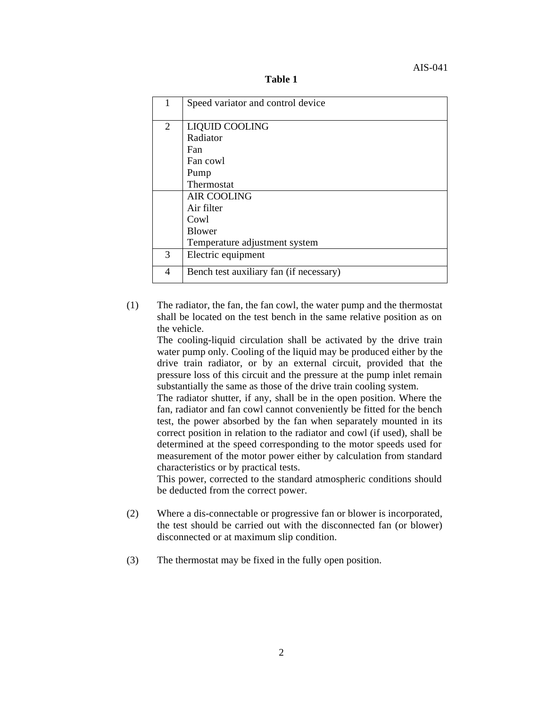**Table 1**

|                | Speed variator and control device       |  |  |  |
|----------------|-----------------------------------------|--|--|--|
| $\overline{2}$ | LIQUID COOLING                          |  |  |  |
|                | Radiator<br><b>Fan</b><br>Fan cowl      |  |  |  |
|                |                                         |  |  |  |
|                |                                         |  |  |  |
|                | Pump                                    |  |  |  |
|                | Thermostat                              |  |  |  |
|                | <b>AIR COOLING</b>                      |  |  |  |
|                | Air filter                              |  |  |  |
|                | Cowl                                    |  |  |  |
|                | <b>Blower</b>                           |  |  |  |
|                | Temperature adjustment system           |  |  |  |
| 3              | Electric equipment                      |  |  |  |
| 4              | Bench test auxiliary fan (if necessary) |  |  |  |

(1) The radiator, the fan, the fan cowl, the water pump and the thermostat shall be located on the test bench in the same relative position as on the vehicle.

The cooling-liquid circulation shall be activated by the drive train water pump only. Cooling of the liquid may be produced either by the drive train radiator, or by an external circuit, provided that the pressure loss of this circuit and the pressure at the pump inlet remain substantially the same as those of the drive train cooling system.

The radiator shutter, if any, shall be in the open position. Where the fan, radiator and fan cowl cannot conveniently be fitted for the bench test, the power absorbed by the fan when separately mounted in its correct position in relation to the radiator and cowl (if used), shall be determined at the speed corresponding to the motor speeds used for measurement of the motor power either by calculation from standard characteristics or by practical tests.

This power, corrected to the standard atmospheric conditions should be deducted from the correct power.

- (2) Where a dis-connectable or progressive fan or blower is incorporated, the test should be carried out with the disconnected fan (or blower) disconnected or at maximum slip condition.
- (3) The thermostat may be fixed in the fully open position.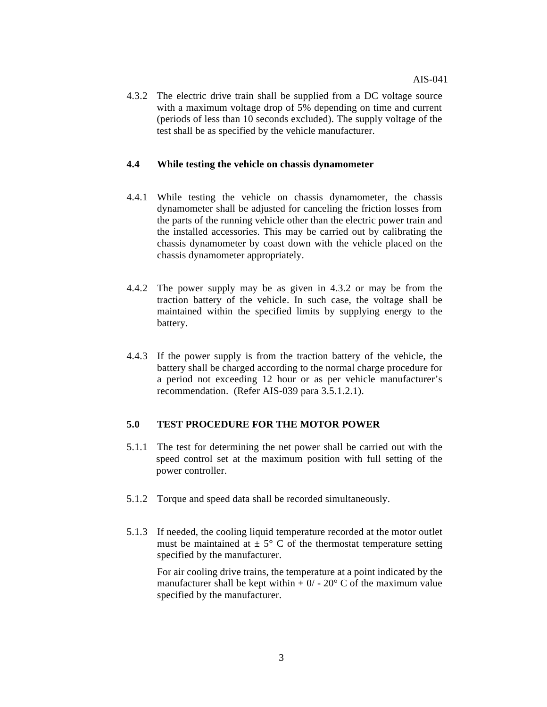4.3.2 The electric drive train shall be supplied from a DC voltage source with a maximum voltage drop of 5% depending on time and current (periods of less than 10 seconds excluded). The supply voltage of the test shall be as specified by the vehicle manufacturer.

#### **4.4 While testing the vehicle on chassis dynamometer**

- 4.4.1 While testing the vehicle on chassis dynamometer, the chassis dynamometer shall be adjusted for canceling the friction losses from the parts of the running vehicle other than the electric power train and the installed accessories. This may be carried out by calibrating the chassis dynamometer by coast down with the vehicle placed on the chassis dynamometer appropriately.
- 4.4.2 The power supply may be as given in 4.3.2 or may be from the traction battery of the vehicle. In such case, the voltage shall be maintained within the specified limits by supplying energy to the battery.
- 4.4.3 If the power supply is from the traction battery of the vehicle, the battery shall be charged according to the normal charge procedure for a period not exceeding 12 hour or as per vehicle manufacturer's recommendation. (Refer AIS-039 para 3.5.1.2.1).

#### **5.0 TEST PROCEDURE FOR THE MOTOR POWER**

- 5.1.1 The test for determining the net power shall be carried out with the speed control set at the maximum position with full setting of the power controller.
- 5.1.2 Torque and speed data shall be recorded simultaneously.
- 5.1.3 If needed, the cooling liquid temperature recorded at the motor outlet must be maintained at  $\pm$  5° C of the thermostat temperature setting specified by the manufacturer.

For air cooling drive trains, the temperature at a point indicated by the manufacturer shall be kept within  $+ 0/ - 20^{\circ}$  C of the maximum value specified by the manufacturer.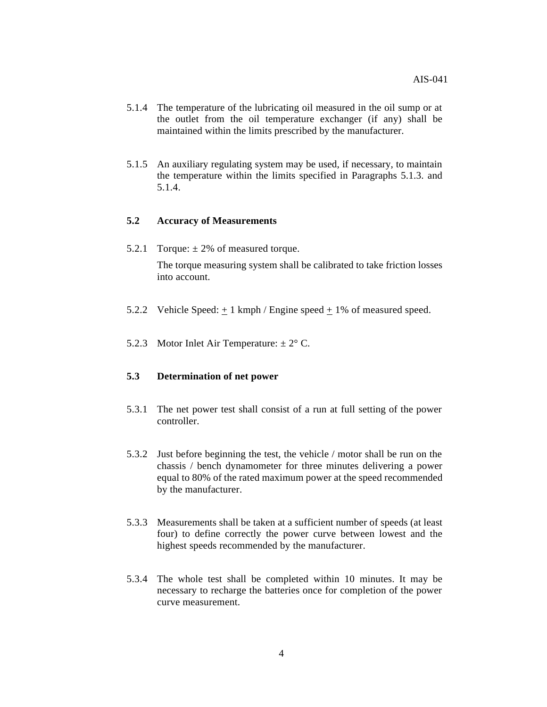- 5.1.4 The temperature of the lubricating oil measured in the oil sump or at the outlet from the oil temperature exchanger (if any) shall be maintained within the limits prescribed by the manufacturer.
- 5.1.5 An auxiliary regulating system may be used, if necessary, to maintain the temperature within the limits specified in Paragraphs 5.1.3. and 5.1.4.

#### **5.2 Accuracy of Measurements**

5.2.1 Torque:  $\pm 2\%$  of measured torque.

The torque measuring system shall be calibrated to take friction losses into account.

- 5.2.2 Vehicle Speed:  $+1$  kmph / Engine speed  $+1\%$  of measured speed.
- 5.2.3 Motor Inlet Air Temperature:  $\pm 2^{\circ}$  C.

#### **5.3 Determination of net power**

- 5.3.1 The net power test shall consist of a run at full setting of the power controller.
- 5.3.2 Just before beginning the test, the vehicle / motor shall be run on the chassis / bench dynamometer for three minutes delivering a power equal to 80% of the rated maximum power at the speed recommended by the manufacturer.
- 5.3.3 Measurements shall be taken at a sufficient number of speeds (at least four) to define correctly the power curve between lowest and the highest speeds recommended by the manufacturer.
- 5.3.4 The whole test shall be completed within 10 minutes. It may be necessary to recharge the batteries once for completion of the power curve measurement.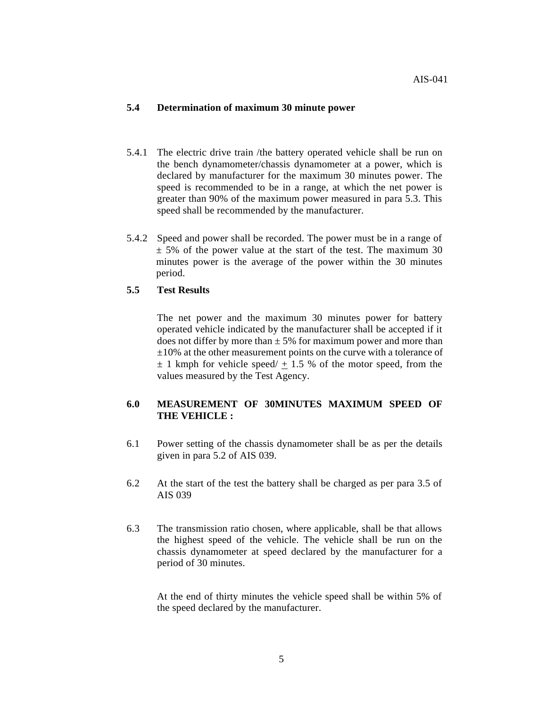#### **5.4 Determination of maximum 30 minute power**

- 5.4.1 The electric drive train /the battery operated vehicle shall be run on the bench dynamometer/chassis dynamometer at a power, which is declared by manufacturer for the maximum 30 minutes power. The speed is recommended to be in a range, at which the net power is greater than 90% of the maximum power measured in para 5.3. This speed shall be recommended by the manufacturer.
- 5.4.2 Speed and power shall be recorded. The power must be in a range of  $\pm$  5% of the power value at the start of the test. The maximum 30 minutes power is the average of the power within the 30 minutes period.

#### **5.5 Test Results**

The net power and the maximum 30 minutes power for battery operated vehicle indicated by the manufacturer shall be accepted if it does not differ by more than  $\pm$  5% for maximum power and more than  $\pm 10\%$  at the other measurement points on the curve with a tolerance of  $\pm$  1 kmph for vehicle speed/ + 1.5 % of the motor speed, from the values measured by the Test Agency.

#### **6.0 MEASUREMENT OF 30MINUTES MAXIMUM SPEED OF THE VEHICLE :**

- 6.1 Power setting of the chassis dynamometer shall be as per the details given in para 5.2 of AIS 039.
- 6.2 At the start of the test the battery shall be charged as per para 3.5 of AIS 039
- 6.3 The transmission ratio chosen, where applicable, shall be that allows the highest speed of the vehicle. The vehicle shall be run on the chassis dynamometer at speed declared by the manufacturer for a period of 30 minutes.

At the end of thirty minutes the vehicle speed shall be within 5% of the speed declared by the manufacturer.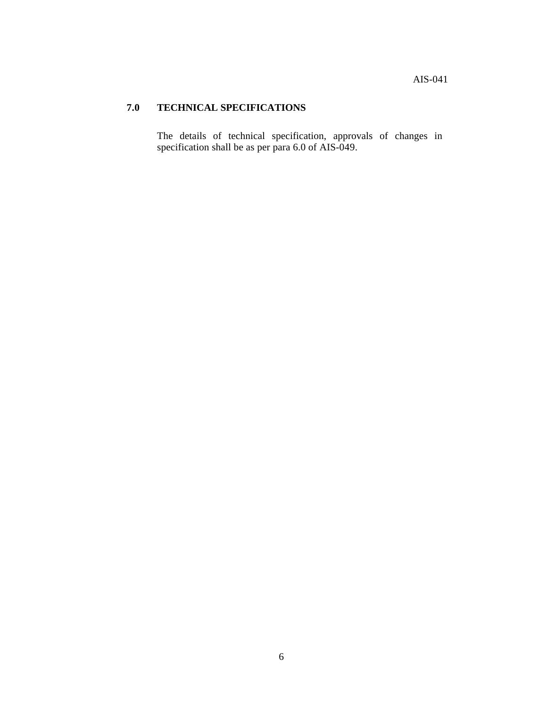### **7.0 TECHNICAL SPECIFICATIONS**

The details of technical specification, approvals of changes in specification shall be as per para 6.0 of AIS-049.